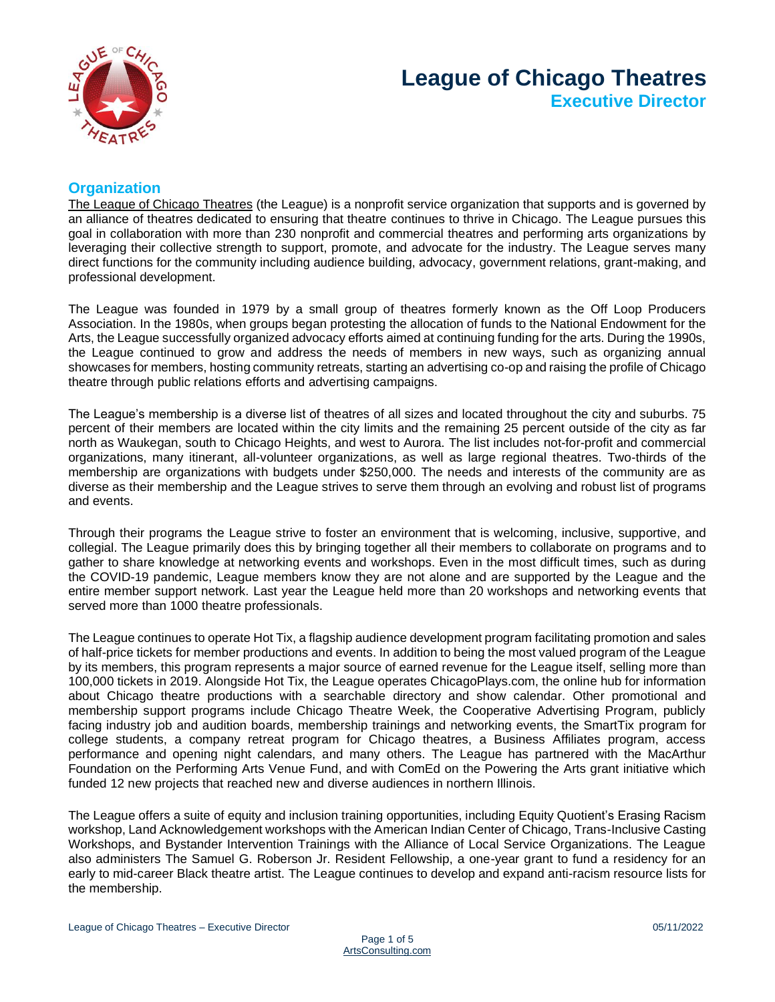

# **League of Chicago Theatres Executive Director**

# **Organization**

[The League of Chicago Theatres](https://leagueofchicagotheatres.org/) (the League) is a nonprofit service organization that supports and is governed by an alliance of theatres dedicated to ensuring that theatre continues to thrive in Chicago. The League pursues this goal in collaboration with more than 230 nonprofit and commercial theatres and performing arts organizations by leveraging their collective strength to support, promote, and advocate for the industry. The League serves many direct functions for the community including audience building, advocacy, government relations, grant-making, and professional development.

The League was founded in 1979 by a small group of theatres formerly known as the Off Loop Producers Association. In the 1980s, when groups began protesting the allocation of funds to the National Endowment for the Arts, the League successfully organized advocacy efforts aimed at continuing funding for the arts. During the 1990s, the League continued to grow and address the needs of members in new ways, such as organizing annual showcases for members, hosting community retreats, starting an advertising co-op and raising the profile of Chicago theatre through public relations efforts and advertising campaigns.

The League's membership is a diverse list of theatres of all sizes and located throughout the city and suburbs. 75 percent of their members are located within the city limits and the remaining 25 percent outside of the city as far north as Waukegan, south to Chicago Heights, and west to Aurora. The list includes not-for-profit and commercial organizations, many itinerant, all-volunteer organizations, as well as large regional theatres. Two-thirds of the membership are organizations with budgets under \$250,000. The needs and interests of the community are as diverse as their membership and the League strives to serve them through an evolving and robust list of programs and events.

Through their programs the League strive to foster an environment that is welcoming, inclusive, supportive, and collegial. The League primarily does this by bringing together all their members to collaborate on programs and to gather to share knowledge at networking events and workshops. Even in the most difficult times, such as during the COVID-19 pandemic, League members know they are not alone and are supported by the League and the entire member support network. Last year the League held more than 20 workshops and networking events that served more than 1000 theatre professionals.

The League continues to operate Hot Tix, a flagship audience development program facilitating promotion and sales of half-price tickets for member productions and events. In addition to being the most valued program of the League by its members, this program represents a major source of earned revenue for the League itself, selling more than 100,000 tickets in 2019. Alongside Hot Tix, the League operates ChicagoPlays.com, the online hub for information about Chicago theatre productions with a searchable directory and show calendar. Other promotional and membership support programs include Chicago Theatre Week, the Cooperative Advertising Program, publicly facing industry job and audition boards, membership trainings and networking events, the SmartTix program for college students, a company retreat program for Chicago theatres, a Business Affiliates program, access performance and opening night calendars, and many others. The League has partnered with the MacArthur Foundation on the Performing Arts Venue Fund, and with ComEd on the Powering the Arts grant initiative which funded 12 new projects that reached new and diverse audiences in northern Illinois.

The League offers a suite of equity and inclusion training opportunities, including Equity Quotient's Erasing Racism workshop, Land Acknowledgement workshops with the American Indian Center of Chicago, Trans-Inclusive Casting Workshops, and Bystander Intervention Trainings with the Alliance of Local Service Organizations. The League also administers The Samuel G. Roberson Jr. Resident Fellowship, a one-year grant to fund a residency for an early to mid-career Black theatre artist. The League continues to develop and expand anti-racism resource lists for the membership.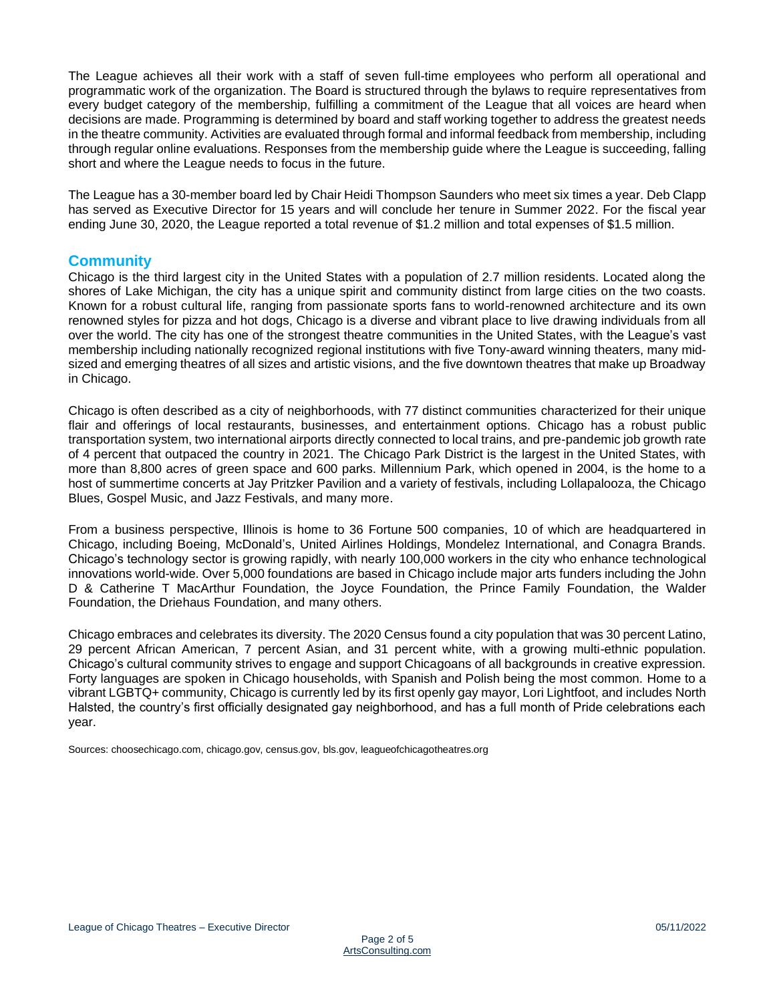The League achieves all their work with a staff of seven full-time employees who perform all operational and programmatic work of the organization. The Board is structured through the bylaws to require representatives from every budget category of the membership, fulfilling a commitment of the League that all voices are heard when decisions are made. Programming is determined by board and staff working together to address the greatest needs in the theatre community. Activities are evaluated through formal and informal feedback from membership, including through regular online evaluations. Responses from the membership guide where the League is succeeding, falling short and where the League needs to focus in the future.

The League has a 30-member board led by Chair Heidi Thompson Saunders who meet six times a year. Deb Clapp has served as Executive Director for 15 years and will conclude her tenure in Summer 2022. For the fiscal year ending June 30, 2020, the League reported a total revenue of \$1.2 million and total expenses of \$1.5 million.

## **Community**

Chicago is the third largest city in the United States with a population of 2.7 million residents. Located along the shores of Lake Michigan, the city has a unique spirit and community distinct from large cities on the two coasts. Known for a robust cultural life, ranging from passionate sports fans to world-renowned architecture and its own renowned styles for pizza and hot dogs, Chicago is a diverse and vibrant place to live drawing individuals from all over the world. The city has one of the strongest theatre communities in the United States, with the League's vast membership including nationally recognized regional institutions with five Tony-award winning theaters, many midsized and emerging theatres of all sizes and artistic visions, and the five downtown theatres that make up Broadway in Chicago.

Chicago is often described as a city of neighborhoods, with 77 distinct communities characterized for their unique flair and offerings of local restaurants, businesses, and entertainment options. Chicago has a robust public transportation system, two international airports directly connected to local trains, and pre-pandemic job growth rate of 4 percent that outpaced the country in 2021. The Chicago Park District is the largest in the United States, with more than 8,800 acres of green space and 600 parks. Millennium Park, which opened in 2004, is the home to a host of summertime concerts at Jay Pritzker Pavilion and a variety of festivals, including Lollapalooza, the Chicago Blues, Gospel Music, and Jazz Festivals, and many more.

From a business perspective, Illinois is home to 36 Fortune 500 companies, 10 of which are headquartered in Chicago, including Boeing, McDonald's, United Airlines Holdings, Mondelez International, and Conagra Brands. Chicago's technology sector is growing rapidly, with nearly 100,000 workers in the city who enhance technological innovations world-wide. Over 5,000 foundations are based in Chicago include major arts funders including the John D & Catherine T MacArthur Foundation, the Joyce Foundation, the Prince Family Foundation, the Walder Foundation, the Driehaus Foundation, and many others.

Chicago embraces and celebrates its diversity. The 2020 Census found a city population that was 30 percent Latino, 29 percent African American, 7 percent Asian, and 31 percent white, with a growing multi-ethnic population. Chicago's cultural community strives to engage and support Chicagoans of all backgrounds in creative expression. Forty languages are spoken in Chicago households, with Spanish and Polish being the most common. Home to a vibrant LGBTQ+ community, Chicago is currently led by its first openly gay mayor, Lori Lightfoot, and includes North Halsted, the country's first officially designated gay neighborhood, and has a full month of Pride celebrations each year.

Sources: choosechicago.com, chicago.gov, census.gov, bls.gov, leagueofchicagotheatres.org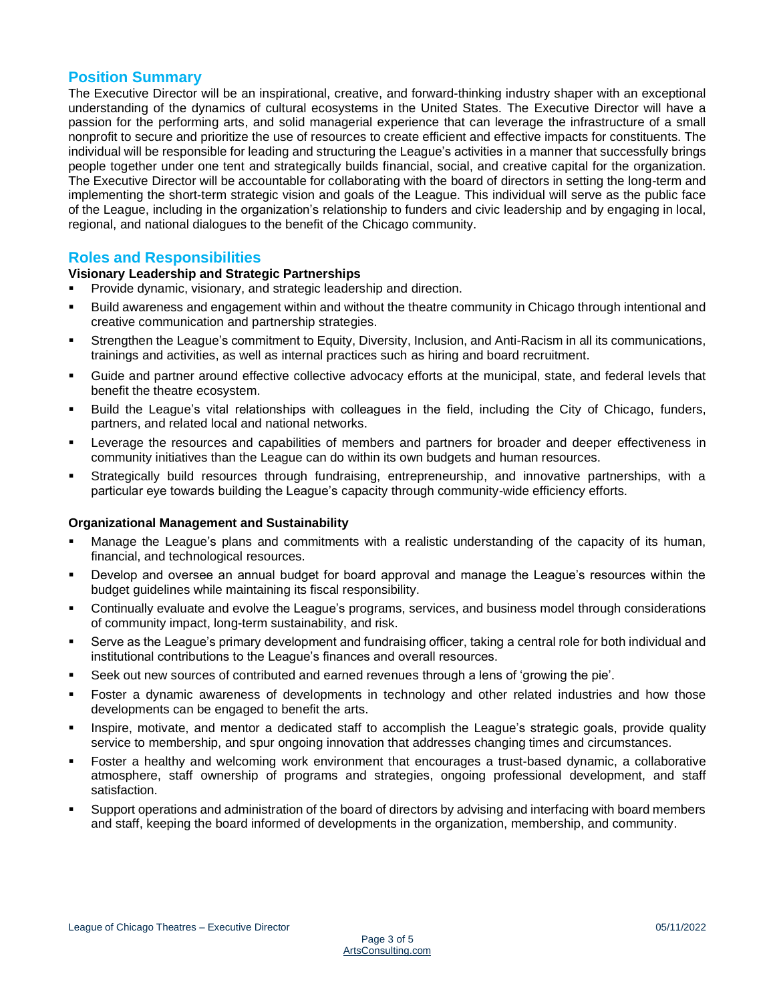## **Position Summary**

The Executive Director will be an inspirational, creative, and forward-thinking industry shaper with an exceptional understanding of the dynamics of cultural ecosystems in the United States. The Executive Director will have a passion for the performing arts, and solid managerial experience that can leverage the infrastructure of a small nonprofit to secure and prioritize the use of resources to create efficient and effective impacts for constituents. The individual will be responsible for leading and structuring the League's activities in a manner that successfully brings people together under one tent and strategically builds financial, social, and creative capital for the organization. The Executive Director will be accountable for collaborating with the board of directors in setting the long-term and implementing the short-term strategic vision and goals of the League. This individual will serve as the public face of the League, including in the organization's relationship to funders and civic leadership and by engaging in local, regional, and national dialogues to the benefit of the Chicago community.

## **Roles and Responsibilities**

#### **Visionary Leadership and Strategic Partnerships**

- **•** Provide dynamic, visionary, and strategic leadership and direction.
- Build awareness and engagement within and without the theatre community in Chicago through intentional and creative communication and partnership strategies.
- Strengthen the League's commitment to Equity, Diversity, Inclusion, and Anti-Racism in all its communications, trainings and activities, as well as internal practices such as hiring and board recruitment.
- Guide and partner around effective collective advocacy efforts at the municipal, state, and federal levels that benefit the theatre ecosystem.
- Build the League's vital relationships with colleagues in the field, including the City of Chicago, funders, partners, and related local and national networks.
- Leverage the resources and capabilities of members and partners for broader and deeper effectiveness in community initiatives than the League can do within its own budgets and human resources.
- Strategically build resources through fundraising, entrepreneurship, and innovative partnerships, with a particular eye towards building the League's capacity through community-wide efficiency efforts.

#### **Organizational Management and Sustainability**

- Manage the League's plans and commitments with a realistic understanding of the capacity of its human, financial, and technological resources.
- Develop and oversee an annual budget for board approval and manage the League's resources within the budget guidelines while maintaining its fiscal responsibility.
- Continually evaluate and evolve the League's programs, services, and business model through considerations of community impact, long-term sustainability, and risk.
- Serve as the League's primary development and fundraising officer, taking a central role for both individual and institutional contributions to the League's finances and overall resources.
- Seek out new sources of contributed and earned revenues through a lens of 'growing the pie'.
- Foster a dynamic awareness of developments in technology and other related industries and how those developments can be engaged to benefit the arts.
- Inspire, motivate, and mentor a dedicated staff to accomplish the League's strategic goals, provide quality service to membership, and spur ongoing innovation that addresses changing times and circumstances.
- Foster a healthy and welcoming work environment that encourages a trust-based dynamic, a collaborative atmosphere, staff ownership of programs and strategies, ongoing professional development, and staff satisfaction.
- Support operations and administration of the board of directors by advising and interfacing with board members and staff, keeping the board informed of developments in the organization, membership, and community.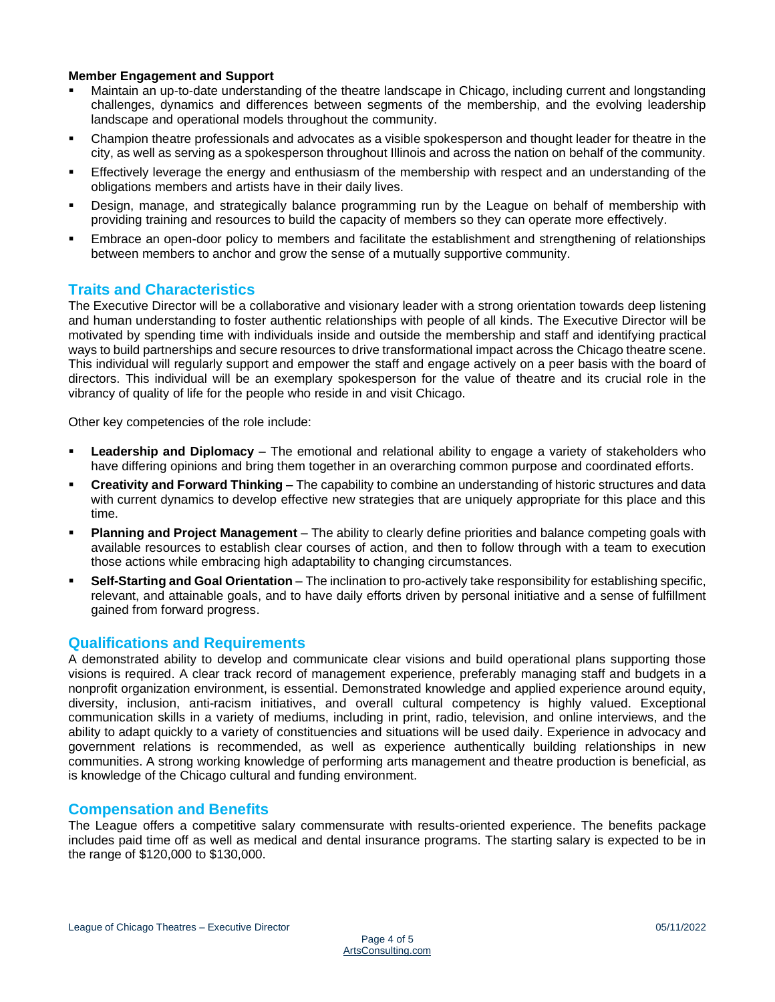#### **Member Engagement and Support**

- Maintain an up-to-date understanding of the theatre landscape in Chicago, including current and longstanding challenges, dynamics and differences between segments of the membership, and the evolving leadership landscape and operational models throughout the community.
- Champion theatre professionals and advocates as a visible spokesperson and thought leader for theatre in the city, as well as serving as a spokesperson throughout Illinois and across the nation on behalf of the community.
- Effectively leverage the energy and enthusiasm of the membership with respect and an understanding of the obligations members and artists have in their daily lives.
- Design, manage, and strategically balance programming run by the League on behalf of membership with providing training and resources to build the capacity of members so they can operate more effectively.
- Embrace an open-door policy to members and facilitate the establishment and strengthening of relationships between members to anchor and grow the sense of a mutually supportive community.

## **Traits and Characteristics**

The Executive Director will be a collaborative and visionary leader with a strong orientation towards deep listening and human understanding to foster authentic relationships with people of all kinds. The Executive Director will be motivated by spending time with individuals inside and outside the membership and staff and identifying practical ways to build partnerships and secure resources to drive transformational impact across the Chicago theatre scene. This individual will regularly support and empower the staff and engage actively on a peer basis with the board of directors. This individual will be an exemplary spokesperson for the value of theatre and its crucial role in the vibrancy of quality of life for the people who reside in and visit Chicago.

Other key competencies of the role include:

- **Leadership and Diplomacy** The emotional and relational ability to engage a variety of stakeholders who have differing opinions and bring them together in an overarching common purpose and coordinated efforts.
- **Creativity and Forward Thinking –** The capability to combine an understanding of historic structures and data with current dynamics to develop effective new strategies that are uniquely appropriate for this place and this time.
- **Planning and Project Management** The ability to clearly define priorities and balance competing goals with available resources to establish clear courses of action, and then to follow through with a team to execution those actions while embracing high adaptability to changing circumstances.
- **Self-Starting and Goal Orientation** The inclination to pro-actively take responsibility for establishing specific, relevant, and attainable goals, and to have daily efforts driven by personal initiative and a sense of fulfillment gained from forward progress.

## **Qualifications and Requirements**

A demonstrated ability to develop and communicate clear visions and build operational plans supporting those visions is required. A clear track record of management experience, preferably managing staff and budgets in a nonprofit organization environment, is essential. Demonstrated knowledge and applied experience around equity, diversity, inclusion, anti-racism initiatives, and overall cultural competency is highly valued. Exceptional communication skills in a variety of mediums, including in print, radio, television, and online interviews, and the ability to adapt quickly to a variety of constituencies and situations will be used daily. Experience in advocacy and government relations is recommended, as well as experience authentically building relationships in new communities. A strong working knowledge of performing arts management and theatre production is beneficial, as is knowledge of the Chicago cultural and funding environment.

## **Compensation and Benefits**

The League offers a competitive salary commensurate with results-oriented experience. The benefits package includes paid time off as well as medical and dental insurance programs. The starting salary is expected to be in the range of \$120,000 to \$130,000.